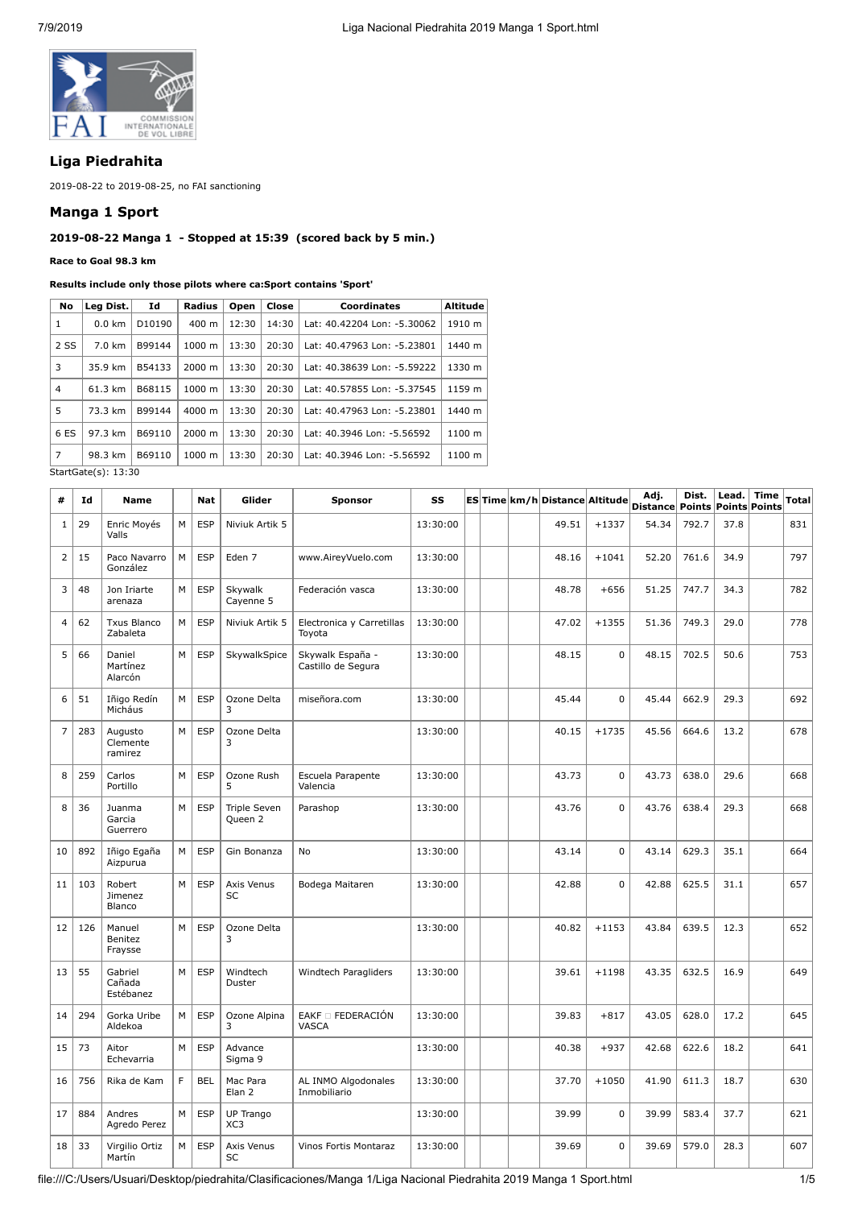

# **Liga Piedrahita**

2019-08-22 to 2019-08-25, no FAI sanctioning

### **Manga 1 Sport**

# **2019-08-22 Manga 1 - Stopped at 15:39 (scored back by 5 min.)**

**Race to Goal 98.3 km**

| No             | Leg Dist.             | Id     | Radius             | Open  | Close | <b>Coordinates</b>          | <b>Altitude</b> |
|----------------|-----------------------|--------|--------------------|-------|-------|-----------------------------|-----------------|
| 1              | $0.0 \text{ km}$      | D10190 | $400 \text{ m}$    | 12:30 | 14:30 | Lat: 40.42204 Lon: -5.30062 | 1910 m          |
| 2 SS           | 7.0 km                | B99144 | $1000 \;{\rm m}$   | 13:30 | 20:30 | Lat: 40.47963 Lon: -5.23801 | 1440 m          |
| 3              | 35.9 km               | B54133 | $2000 \; \text{m}$ | 13:30 | 20:30 | Lat: 40.38639 Lon: -5.59222 | 1330 m          |
| $\overline{4}$ | 61.3 km               | B68115 | $1000 \; m$        | 13:30 | 20:30 | Lat: 40.57855 Lon: -5.37545 | 1159 m          |
| 5              | 73.3 km               | B99144 | 4000 m             | 13:30 | 20:30 | Lat: 40.47963 Lon: -5.23801 | 1440 m          |
| 6 ES           | 97.3 km               | B69110 | $2000 \; \text{m}$ | 13:30 | 20:30 | Lat: 40.3946 Lon: -5.56592  | 1100 m          |
| $\overline{7}$ | 98.3 km               | B69110 | $1000 \; m$        | 13:30 | 20:30 | Lat: 40.3946 Lon: -5.56592  | 1100 m          |
|                | - - - - - - - - - - - |        |                    |       |       |                             |                 |

StartGate(s): 13:30

| #              | Id  | <b>Name</b>                    |    | <b>Nat</b> | Glider                         | <b>Sponsor</b>                         | SS       |  | ES Time km/h Distance Altitude |             | Adj.<br><b>Distance</b> | Dist.<br><b>Points</b> | Lead.<br><b>Points Points</b> | Time | <b>Total</b> |
|----------------|-----|--------------------------------|----|------------|--------------------------------|----------------------------------------|----------|--|--------------------------------|-------------|-------------------------|------------------------|-------------------------------|------|--------------|
| $\mathbf{1}$   | 29  | Enric Moyés<br>Valls           | M  | <b>ESP</b> | Niviuk Artik 5                 |                                        | 13:30:00 |  | 49.51                          | $+1337$     | 54.34                   | 792.7                  | 37.8                          |      | 831          |
| $\overline{2}$ | 15  | Paco Navarro<br>González       | M  | <b>ESP</b> | Eden 7                         | www.AireyVuelo.com                     | 13:30:00 |  | 48.16                          | $+1041$     | 52.20                   | 761.6                  | 34.9                          |      | 797          |
| 3              | 48  | Jon Iriarte<br>arenaza         | M  | <b>ESP</b> | Skywalk<br>Cayenne 5           | Federación vasca                       | 13:30:00 |  | 48.78                          | $+656$      | 51.25                   | 747.7                  | 34.3                          |      | 782          |
| 4              | 62  | <b>Txus Blanco</b><br>Zabaleta | M  | <b>ESP</b> | Niviuk Artik 5                 | Electronica y Carretillas<br>Toyota    | 13:30:00 |  | 47.02                          | $+1355$     | 51.36                   | 749.3                  | 29.0                          |      | 778          |
| 5              | 66  | Daniel<br>Martínez<br>Alarcón  | M  | <b>ESP</b> | SkywalkSpice                   | Skywalk España -<br>Castillo de Segura | 13:30:00 |  | 48.15                          | $\mathbf 0$ | 48.15                   | 702.5                  | 50.6                          |      | 753          |
| 6              | 51  | Iñigo Redín<br>Micháus         | M  | <b>ESP</b> | Ozone Delta<br>3               | miseñora.com                           | 13:30:00 |  | 45.44                          | $\mathbf 0$ | 45.44                   | 662.9                  | 29.3                          |      | 692          |
| $\overline{7}$ | 283 | Augusto<br>Clemente<br>ramirez | M  | <b>ESP</b> | Ozone Delta<br>3               |                                        | 13:30:00 |  | 40.15                          | $+1735$     | 45.56                   | 664.6                  | 13.2                          |      | 678          |
| 8              | 259 | Carlos<br>Portillo             | M  | <b>ESP</b> | Ozone Rush<br>5                | Escuela Parapente<br>Valencia          | 13:30:00 |  | 43.73                          | $\mathbf 0$ | 43.73                   | 638.0                  | 29.6                          |      | 668          |
| 8              | 36  | Juanma<br>Garcia<br>Guerrero   | M  | <b>ESP</b> | <b>Triple Seven</b><br>Queen 2 | Parashop                               | 13:30:00 |  | 43.76                          | $\mathbf 0$ | 43.76                   | 638.4                  | 29.3                          |      | 668          |
| 10             | 892 | Iñigo Egaña<br>Aizpurua        | M  | <b>ESP</b> | Gin Bonanza                    | <b>No</b>                              | 13:30:00 |  | 43.14                          | $\Omega$    | 43.14                   | 629.3                  | 35.1                          |      | 664          |
| 11             | 103 | Robert<br>Jimenez<br>Blanco    | M  | <b>ESP</b> | Axis Venus<br>SC               | Bodega Maitaren                        | 13:30:00 |  | 42.88                          | $\mathbf 0$ | 42.88                   | 625.5                  | 31.1                          |      | 657          |
| 12             | 126 | Manuel<br>Benitez<br>Fraysse   | M  | <b>ESP</b> | Ozone Delta<br>3               |                                        | 13:30:00 |  | 40.82                          | $+1153$     | 43.84                   | 639.5                  | 12.3                          |      | 652          |
| 13             | 55  | Gabriel<br>Cañada<br>Estébanez | M  | <b>ESP</b> | Windtech<br>Duster             | Windtech Paragliders                   | 13:30:00 |  | 39.61                          | $+1198$     | 43.35                   | 632.5                  | 16.9                          |      | 649          |
| 14             | 294 | Gorka Uribe<br>Aldekoa         | M  | <b>ESP</b> | Ozone Alpina<br>3              | EAKF <sup>D</sup> FEDERACIÓN<br>VASCA  | 13:30:00 |  | 39.83                          | $+817$      | 43.05                   | 628.0                  | 17.2                          |      | 645          |
| 15             | 73  | Aitor<br>Echevarria            | M  | <b>ESP</b> | Advance<br>Sigma 9             |                                        | 13:30:00 |  | 40.38                          | $+937$      | 42.68                   | 622.6                  | 18.2                          |      | 641          |
| 16             | 756 | Rika de Kam                    | F. | <b>BEL</b> | Mac Para<br>Elan <sub>2</sub>  | AL INMO Algodonales<br>Inmobiliario    | 13:30:00 |  | 37.70                          | $+1050$     | 41.90                   | 611.3                  | 18.7                          |      | 630          |
| 17             | 884 | Andres<br>Agredo Perez         | M  | <b>ESP</b> | UP Trango<br>XC3               |                                        | 13:30:00 |  | 39.99                          | $\mathbf 0$ | 39.99                   | 583.4                  | 37.7                          |      | 621          |
| 18             | 33  | Virgilio Ortiz<br>Martín       | M  | <b>ESP</b> | Axis Venus<br>SC               | Vinos Fortis Montaraz                  | 13:30:00 |  | 39.69                          | $\mathbf 0$ | 39.69                   | 579.0                  | 28.3                          |      | 607          |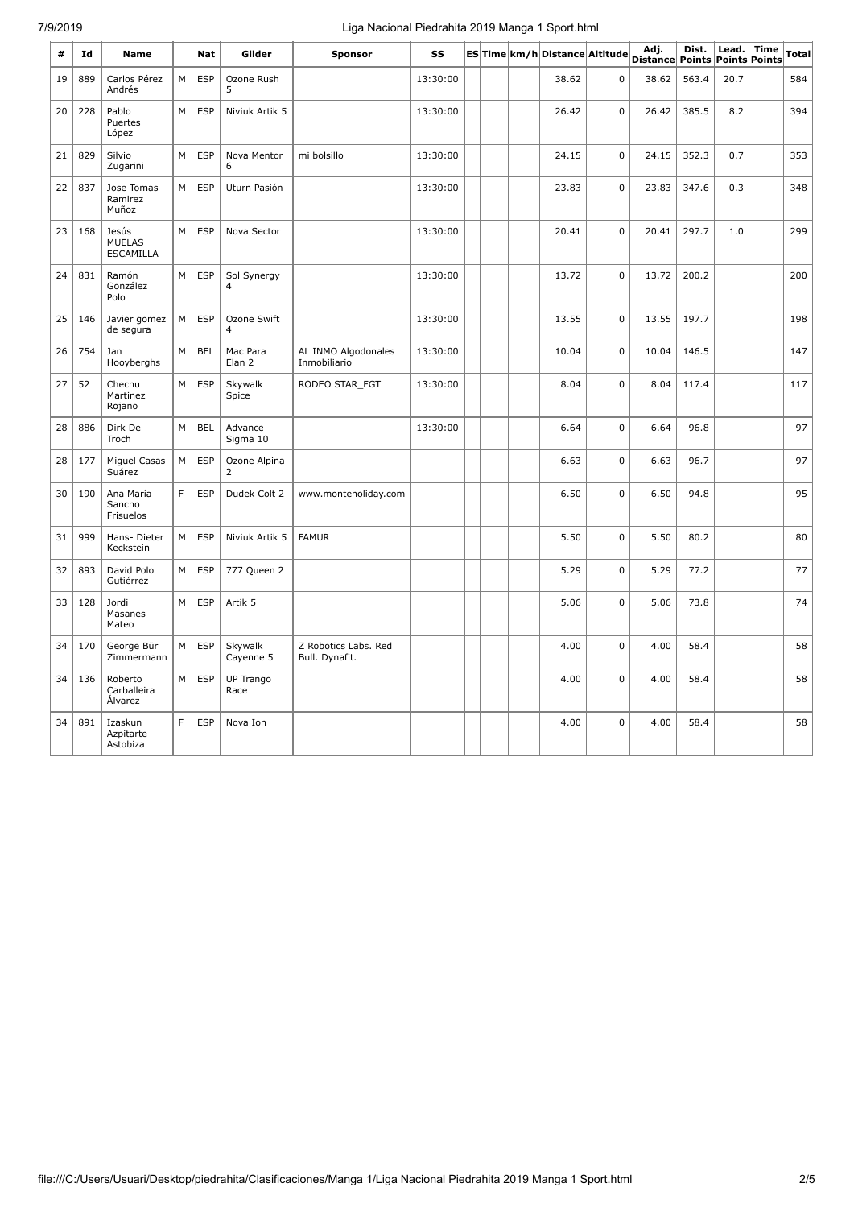# 7/9/2019 Liga Nacional Piedrahita 2019 Manga 1 Sport.html

| #  | Id  | <b>Name</b>                                |   | <b>Nat</b> | Glider                        | Sponsor                                | SS       |  | ES Time km/h Distance Altitude |             | Adj.<br>Distance Points | Dist. | Lead. | <b>Time</b><br>Points Points | <b>Total</b> |
|----|-----|--------------------------------------------|---|------------|-------------------------------|----------------------------------------|----------|--|--------------------------------|-------------|-------------------------|-------|-------|------------------------------|--------------|
| 19 | 889 | Carlos Pérez<br>Andrés                     | M | <b>ESP</b> | Ozone Rush<br>5               |                                        | 13:30:00 |  | 38.62                          | $\Omega$    | 38.62                   | 563.4 | 20.7  |                              | 584          |
| 20 | 228 | Pablo<br>Puertes<br>López                  | M | <b>ESP</b> | Niviuk Artik 5                |                                        | 13:30:00 |  | 26.42                          | $\pmb{0}$   | 26.42                   | 385.5 | 8.2   |                              | 394          |
| 21 | 829 | Silvio<br>Zugarini                         | M | <b>ESP</b> | Nova Mentor<br>6              | mi bolsillo                            | 13:30:00 |  | 24.15                          | $\mathbf 0$ | 24.15                   | 352.3 | 0.7   |                              | 353          |
| 22 | 837 | Jose Tomas<br>Ramirez<br>Muñoz             | M | <b>ESP</b> | Uturn Pasión                  |                                        | 13:30:00 |  | 23.83                          | $\mathbf 0$ | 23.83                   | 347.6 | 0.3   |                              | 348          |
| 23 | 168 | Jesús<br><b>MUELAS</b><br><b>ESCAMILLA</b> | M | <b>ESP</b> | Nova Sector                   |                                        | 13:30:00 |  | 20.41                          | $\mathbf 0$ | 20.41                   | 297.7 | 1.0   |                              | 299          |
| 24 | 831 | Ramón<br>González<br>Polo                  | M | <b>ESP</b> | Sol Synergy<br>$\overline{4}$ |                                        | 13:30:00 |  | 13.72                          | $\mathbf 0$ | 13.72                   | 200.2 |       |                              | 200          |
| 25 | 146 | Javier gomez<br>de segura                  | M | <b>ESP</b> | Ozone Swift<br>4              |                                        | 13:30:00 |  | 13.55                          | $\mathbf 0$ | 13.55                   | 197.7 |       |                              | 198          |
| 26 | 754 | Jan<br>Hooyberghs                          | M | <b>BEL</b> | Mac Para<br>Elan 2            | AL INMO Algodonales<br>Inmobiliario    | 13:30:00 |  | 10.04                          | $\mathbf 0$ | 10.04                   | 146.5 |       |                              | 147          |
| 27 | 52  | Chechu<br>Martinez<br>Rojano               | M | <b>ESP</b> | Skywalk<br>Spice              | RODEO STAR FGT                         | 13:30:00 |  | 8.04                           | $\mathbf 0$ | 8.04                    | 117.4 |       |                              | 117          |
| 28 | 886 | Dirk De<br>Troch                           | М | <b>BEL</b> | Advance<br>Sigma 10           |                                        | 13:30:00 |  | 6.64                           | $\mathsf 0$ | 6.64                    | 96.8  |       |                              | 97           |
| 28 | 177 | Miguel Casas<br>Suárez                     | М | ESP        | Ozone Alpina<br>2             |                                        |          |  | 6.63                           | $\mathsf 0$ | 6.63                    | 96.7  |       |                              | 97           |
| 30 | 190 | Ana María<br>Sancho<br>Frisuelos           | F | <b>ESP</b> | Dudek Colt 2                  | www.monteholiday.com                   |          |  | 6.50                           | 0           | 6.50                    | 94.8  |       |                              | 95           |
| 31 | 999 | Hans-Dieter<br>Keckstein                   | M | <b>ESP</b> | Niviuk Artik 5                | <b>FAMUR</b>                           |          |  | 5.50                           | $\mathbf 0$ | 5.50                    | 80.2  |       |                              | 80           |
| 32 | 893 | David Polo<br>Gutiérrez                    | М | <b>ESP</b> | 777 Queen 2                   |                                        |          |  | 5.29                           | $\mathbf 0$ | 5.29                    | 77.2  |       |                              | 77           |
| 33 | 128 | Jordi<br>Masanes<br>Mateo                  | М | <b>ESP</b> | Artik 5                       |                                        |          |  | 5.06                           | $\mathsf 0$ | 5.06                    | 73.8  |       |                              | 74           |
| 34 | 170 | George Bür<br>Zimmermann                   | M | <b>ESP</b> | Skywalk<br>Cayenne 5          | Z Robotics Labs. Red<br>Bull. Dynafit. |          |  | 4.00                           | $\pmb{0}$   | 4.00                    | 58.4  |       |                              | 58           |
| 34 | 136 | Roberto<br>Carballeira<br><b>Alvarez</b>   | М | <b>ESP</b> | UP Trango<br>Race             |                                        |          |  | 4.00                           | $\mathbf 0$ | 4.00                    | 58.4  |       |                              | 58           |
| 34 | 891 | Izaskun<br>Azpitarte<br>Astobiza           | F | <b>ESP</b> | Nova Ion                      |                                        |          |  | 4.00                           | $\mathbf 0$ | 4.00                    | 58.4  |       |                              | 58           |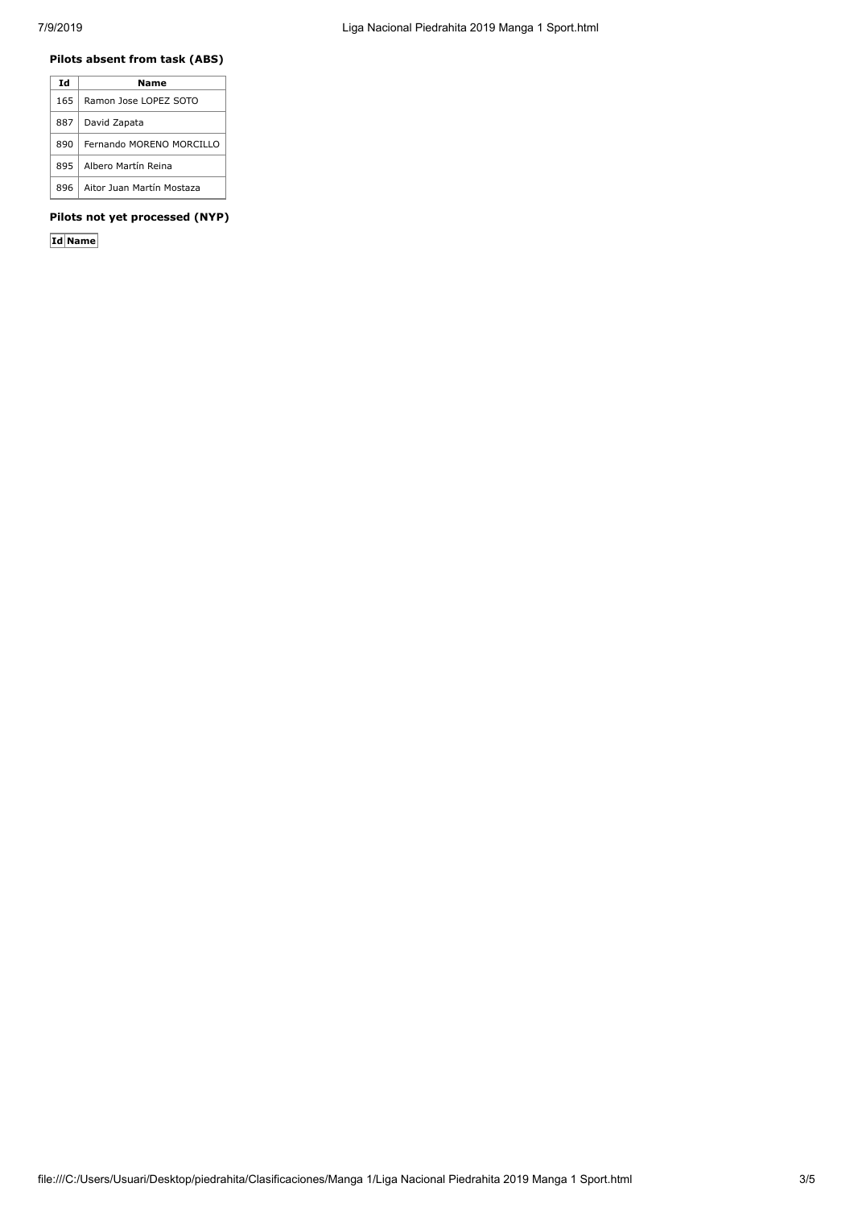# **Pilots absent from task (ABS)**

| Τd   | Name                      |
|------|---------------------------|
| 165  | Ramon Jose LOPEZ SOTO     |
| 887  | David Zapata              |
| 890  | Fernando MORENO MORCILLO  |
| 895  | Albero Martín Reina       |
| 896. | Aitor Juan Martín Mostaza |

### **Pilots not yet processed (NYP)**

**Id Name**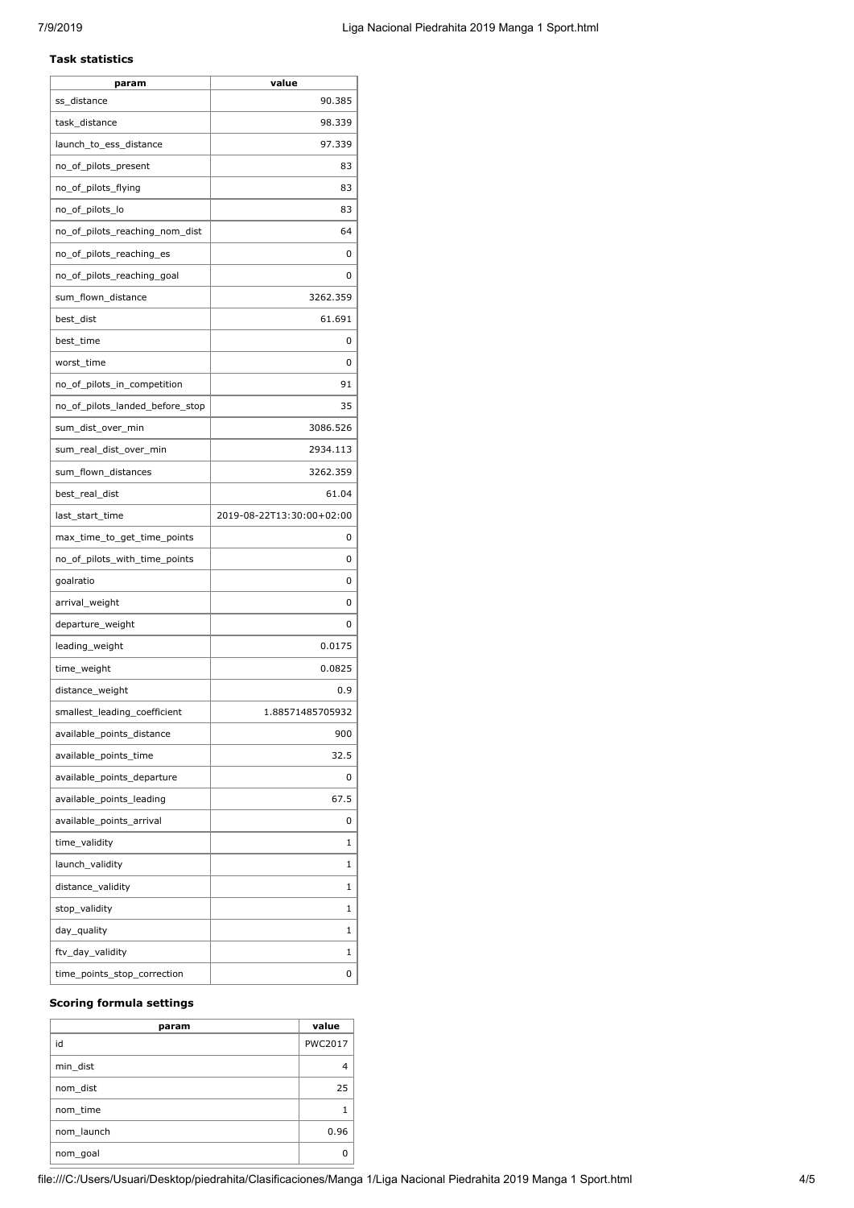#### **Task statistics**

| 90.385<br>ss_distance<br>task_distance<br>98.339<br>launch_to_ess_distance<br>97.339<br>no_of_pilots_present<br>83<br>83<br>no_of_pilots_flying<br>no_of_pilots_lo<br>83<br>no_of_pilots_reaching_nom_dist<br>64<br>no_of_pilots_reaching_es<br>0<br>no_of_pilots_reaching_goal<br>0<br>sum_flown_distance<br>3262.359<br>best_dist<br>61.691<br>best_time<br>0<br>worst_time<br>0<br>no_of_pilots_in_competition<br>91<br>no_of_pilots_landed_before_stop<br>35<br>3086.526<br>sum_dist_over_min<br>sum_real_dist_over_min<br>2934.113<br>3262.359<br>sum_flown_distances<br>61.04<br>best_real_dist<br>2019-08-22T13:30:00+02:00<br>last_start_time<br>max_time_to_get_time_points<br>0<br>no_of_pilots_with_time_points<br>0<br>goalratio<br>0<br>arrival_weight<br>0<br>departure_weight<br>0<br>0.0175<br>leading_weight<br>0.0825<br>time_weight<br>distance_weight<br>0.9<br>smallest_leading_coefficient<br>1.88571485705932<br>available_points_distance<br>900<br>available_points_time<br>32.5<br>available_points_departure<br>0<br>available_points_leading<br>67.5<br>available_points_arrival<br>0<br>time_validity<br>1<br>launch_validity<br>1<br>distance_validity<br>1<br>stop_validity<br>1<br>day_quality<br>1<br>ftv_day_validity<br>1<br>time_points_stop_correction<br>0 | param | value |
|--------------------------------------------------------------------------------------------------------------------------------------------------------------------------------------------------------------------------------------------------------------------------------------------------------------------------------------------------------------------------------------------------------------------------------------------------------------------------------------------------------------------------------------------------------------------------------------------------------------------------------------------------------------------------------------------------------------------------------------------------------------------------------------------------------------------------------------------------------------------------------------------------------------------------------------------------------------------------------------------------------------------------------------------------------------------------------------------------------------------------------------------------------------------------------------------------------------------------------------------------------------------------------------------------|-------|-------|
|                                                                                                                                                                                                                                                                                                                                                                                                                                                                                                                                                                                                                                                                                                                                                                                                                                                                                                                                                                                                                                                                                                                                                                                                                                                                                                  |       |       |
|                                                                                                                                                                                                                                                                                                                                                                                                                                                                                                                                                                                                                                                                                                                                                                                                                                                                                                                                                                                                                                                                                                                                                                                                                                                                                                  |       |       |
|                                                                                                                                                                                                                                                                                                                                                                                                                                                                                                                                                                                                                                                                                                                                                                                                                                                                                                                                                                                                                                                                                                                                                                                                                                                                                                  |       |       |
|                                                                                                                                                                                                                                                                                                                                                                                                                                                                                                                                                                                                                                                                                                                                                                                                                                                                                                                                                                                                                                                                                                                                                                                                                                                                                                  |       |       |
|                                                                                                                                                                                                                                                                                                                                                                                                                                                                                                                                                                                                                                                                                                                                                                                                                                                                                                                                                                                                                                                                                                                                                                                                                                                                                                  |       |       |
|                                                                                                                                                                                                                                                                                                                                                                                                                                                                                                                                                                                                                                                                                                                                                                                                                                                                                                                                                                                                                                                                                                                                                                                                                                                                                                  |       |       |
|                                                                                                                                                                                                                                                                                                                                                                                                                                                                                                                                                                                                                                                                                                                                                                                                                                                                                                                                                                                                                                                                                                                                                                                                                                                                                                  |       |       |
|                                                                                                                                                                                                                                                                                                                                                                                                                                                                                                                                                                                                                                                                                                                                                                                                                                                                                                                                                                                                                                                                                                                                                                                                                                                                                                  |       |       |
|                                                                                                                                                                                                                                                                                                                                                                                                                                                                                                                                                                                                                                                                                                                                                                                                                                                                                                                                                                                                                                                                                                                                                                                                                                                                                                  |       |       |
|                                                                                                                                                                                                                                                                                                                                                                                                                                                                                                                                                                                                                                                                                                                                                                                                                                                                                                                                                                                                                                                                                                                                                                                                                                                                                                  |       |       |
|                                                                                                                                                                                                                                                                                                                                                                                                                                                                                                                                                                                                                                                                                                                                                                                                                                                                                                                                                                                                                                                                                                                                                                                                                                                                                                  |       |       |
|                                                                                                                                                                                                                                                                                                                                                                                                                                                                                                                                                                                                                                                                                                                                                                                                                                                                                                                                                                                                                                                                                                                                                                                                                                                                                                  |       |       |
|                                                                                                                                                                                                                                                                                                                                                                                                                                                                                                                                                                                                                                                                                                                                                                                                                                                                                                                                                                                                                                                                                                                                                                                                                                                                                                  |       |       |
|                                                                                                                                                                                                                                                                                                                                                                                                                                                                                                                                                                                                                                                                                                                                                                                                                                                                                                                                                                                                                                                                                                                                                                                                                                                                                                  |       |       |
|                                                                                                                                                                                                                                                                                                                                                                                                                                                                                                                                                                                                                                                                                                                                                                                                                                                                                                                                                                                                                                                                                                                                                                                                                                                                                                  |       |       |
|                                                                                                                                                                                                                                                                                                                                                                                                                                                                                                                                                                                                                                                                                                                                                                                                                                                                                                                                                                                                                                                                                                                                                                                                                                                                                                  |       |       |
|                                                                                                                                                                                                                                                                                                                                                                                                                                                                                                                                                                                                                                                                                                                                                                                                                                                                                                                                                                                                                                                                                                                                                                                                                                                                                                  |       |       |
|                                                                                                                                                                                                                                                                                                                                                                                                                                                                                                                                                                                                                                                                                                                                                                                                                                                                                                                                                                                                                                                                                                                                                                                                                                                                                                  |       |       |
|                                                                                                                                                                                                                                                                                                                                                                                                                                                                                                                                                                                                                                                                                                                                                                                                                                                                                                                                                                                                                                                                                                                                                                                                                                                                                                  |       |       |
|                                                                                                                                                                                                                                                                                                                                                                                                                                                                                                                                                                                                                                                                                                                                                                                                                                                                                                                                                                                                                                                                                                                                                                                                                                                                                                  |       |       |
|                                                                                                                                                                                                                                                                                                                                                                                                                                                                                                                                                                                                                                                                                                                                                                                                                                                                                                                                                                                                                                                                                                                                                                                                                                                                                                  |       |       |
|                                                                                                                                                                                                                                                                                                                                                                                                                                                                                                                                                                                                                                                                                                                                                                                                                                                                                                                                                                                                                                                                                                                                                                                                                                                                                                  |       |       |
|                                                                                                                                                                                                                                                                                                                                                                                                                                                                                                                                                                                                                                                                                                                                                                                                                                                                                                                                                                                                                                                                                                                                                                                                                                                                                                  |       |       |
|                                                                                                                                                                                                                                                                                                                                                                                                                                                                                                                                                                                                                                                                                                                                                                                                                                                                                                                                                                                                                                                                                                                                                                                                                                                                                                  |       |       |
|                                                                                                                                                                                                                                                                                                                                                                                                                                                                                                                                                                                                                                                                                                                                                                                                                                                                                                                                                                                                                                                                                                                                                                                                                                                                                                  |       |       |
|                                                                                                                                                                                                                                                                                                                                                                                                                                                                                                                                                                                                                                                                                                                                                                                                                                                                                                                                                                                                                                                                                                                                                                                                                                                                                                  |       |       |
|                                                                                                                                                                                                                                                                                                                                                                                                                                                                                                                                                                                                                                                                                                                                                                                                                                                                                                                                                                                                                                                                                                                                                                                                                                                                                                  |       |       |
|                                                                                                                                                                                                                                                                                                                                                                                                                                                                                                                                                                                                                                                                                                                                                                                                                                                                                                                                                                                                                                                                                                                                                                                                                                                                                                  |       |       |
|                                                                                                                                                                                                                                                                                                                                                                                                                                                                                                                                                                                                                                                                                                                                                                                                                                                                                                                                                                                                                                                                                                                                                                                                                                                                                                  |       |       |
|                                                                                                                                                                                                                                                                                                                                                                                                                                                                                                                                                                                                                                                                                                                                                                                                                                                                                                                                                                                                                                                                                                                                                                                                                                                                                                  |       |       |
|                                                                                                                                                                                                                                                                                                                                                                                                                                                                                                                                                                                                                                                                                                                                                                                                                                                                                                                                                                                                                                                                                                                                                                                                                                                                                                  |       |       |
|                                                                                                                                                                                                                                                                                                                                                                                                                                                                                                                                                                                                                                                                                                                                                                                                                                                                                                                                                                                                                                                                                                                                                                                                                                                                                                  |       |       |
|                                                                                                                                                                                                                                                                                                                                                                                                                                                                                                                                                                                                                                                                                                                                                                                                                                                                                                                                                                                                                                                                                                                                                                                                                                                                                                  |       |       |
|                                                                                                                                                                                                                                                                                                                                                                                                                                                                                                                                                                                                                                                                                                                                                                                                                                                                                                                                                                                                                                                                                                                                                                                                                                                                                                  |       |       |
|                                                                                                                                                                                                                                                                                                                                                                                                                                                                                                                                                                                                                                                                                                                                                                                                                                                                                                                                                                                                                                                                                                                                                                                                                                                                                                  |       |       |
|                                                                                                                                                                                                                                                                                                                                                                                                                                                                                                                                                                                                                                                                                                                                                                                                                                                                                                                                                                                                                                                                                                                                                                                                                                                                                                  |       |       |
|                                                                                                                                                                                                                                                                                                                                                                                                                                                                                                                                                                                                                                                                                                                                                                                                                                                                                                                                                                                                                                                                                                                                                                                                                                                                                                  |       |       |
|                                                                                                                                                                                                                                                                                                                                                                                                                                                                                                                                                                                                                                                                                                                                                                                                                                                                                                                                                                                                                                                                                                                                                                                                                                                                                                  |       |       |
|                                                                                                                                                                                                                                                                                                                                                                                                                                                                                                                                                                                                                                                                                                                                                                                                                                                                                                                                                                                                                                                                                                                                                                                                                                                                                                  |       |       |
|                                                                                                                                                                                                                                                                                                                                                                                                                                                                                                                                                                                                                                                                                                                                                                                                                                                                                                                                                                                                                                                                                                                                                                                                                                                                                                  |       |       |
|                                                                                                                                                                                                                                                                                                                                                                                                                                                                                                                                                                                                                                                                                                                                                                                                                                                                                                                                                                                                                                                                                                                                                                                                                                                                                                  |       |       |

# **Scoring formula settings**

| param      | value          |
|------------|----------------|
| id         | <b>PWC2017</b> |
| min_dist   |                |
| nom_dist   | 25             |
| nom time   |                |
| nom launch | 0.96           |
| nom_goal   |                |